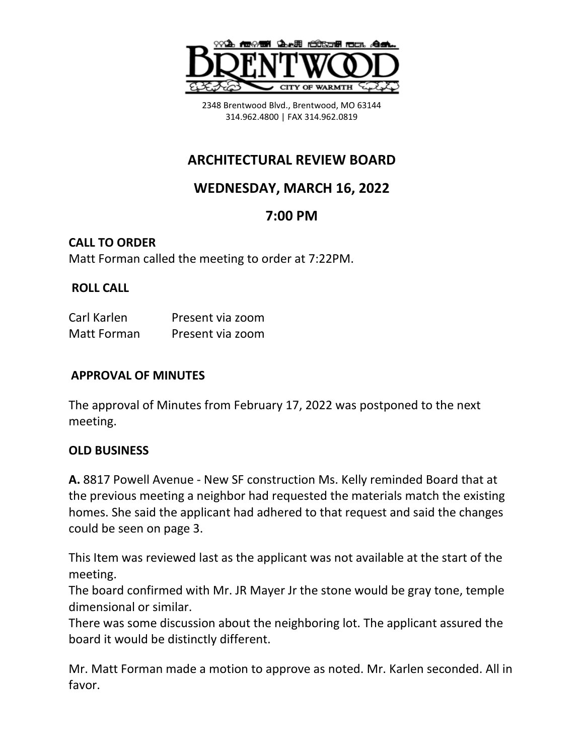

2348 Brentwood Blvd., Brentwood, MO 63144 314.962.4800 | FAX 314.962.0819

# **ARCHITECTURAL REVIEW BOARD**

## **WEDNESDAY, MARCH 16, 2022**

## **7:00 PM**

# **CALL TO ORDER**

Matt Forman called the meeting to order at 7:22PM.

### **ROLL CALL**

| Carl Karlen | Present via zoom |
|-------------|------------------|
| Matt Forman | Present via zoom |

#### **APPROVAL OF MINUTES**

The approval of Minutes from February 17, 2022 was postponed to the next meeting.

#### **OLD BUSINESS**

**A.** 8817 Powell Avenue - New SF construction Ms. Kelly reminded Board that at the previous meeting a neighbor had requested the materials match the existing homes. She said the applicant had adhered to that request and said the changes could be seen on page 3.

This Item was reviewed last as the applicant was not available at the start of the meeting.

The board confirmed with Mr. JR Mayer Jr the stone would be gray tone, temple dimensional or similar.

There was some discussion about the neighboring lot. The applicant assured the board it would be distinctly different.

Mr. Matt Forman made a motion to approve as noted. Mr. Karlen seconded. All in favor.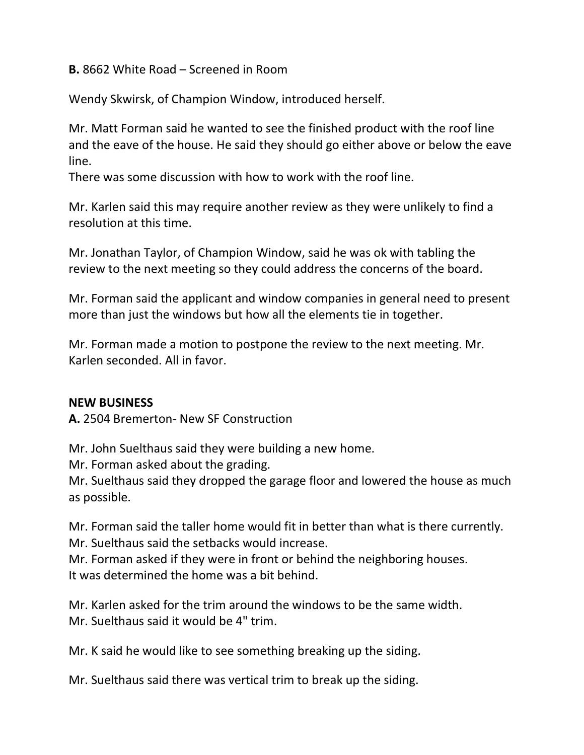**B.** 8662 White Road – Screened in Room

Wendy Skwirsk, of Champion Window, introduced herself.

Mr. Matt Forman said he wanted to see the finished product with the roof line and the eave of the house. He said they should go either above or below the eave line.

There was some discussion with how to work with the roof line.

Mr. Karlen said this may require another review as they were unlikely to find a resolution at this time.

Mr. Jonathan Taylor, of Champion Window, said he was ok with tabling the review to the next meeting so they could address the concerns of the board.

Mr. Forman said the applicant and window companies in general need to present more than just the windows but how all the elements tie in together.

Mr. Forman made a motion to postpone the review to the next meeting. Mr. Karlen seconded. All in favor.

#### **NEW BUSINESS**

**A.** 2504 Bremerton- New SF Construction

Mr. John Suelthaus said they were building a new home.

Mr. Forman asked about the grading.

Mr. Suelthaus said they dropped the garage floor and lowered the house as much as possible.

Mr. Forman said the taller home would fit in better than what is there currently. Mr. Suelthaus said the setbacks would increase.

Mr. Forman asked if they were in front or behind the neighboring houses. It was determined the home was a bit behind.

Mr. Karlen asked for the trim around the windows to be the same width. Mr. Suelthaus said it would be 4" trim.

Mr. K said he would like to see something breaking up the siding.

Mr. Suelthaus said there was vertical trim to break up the siding.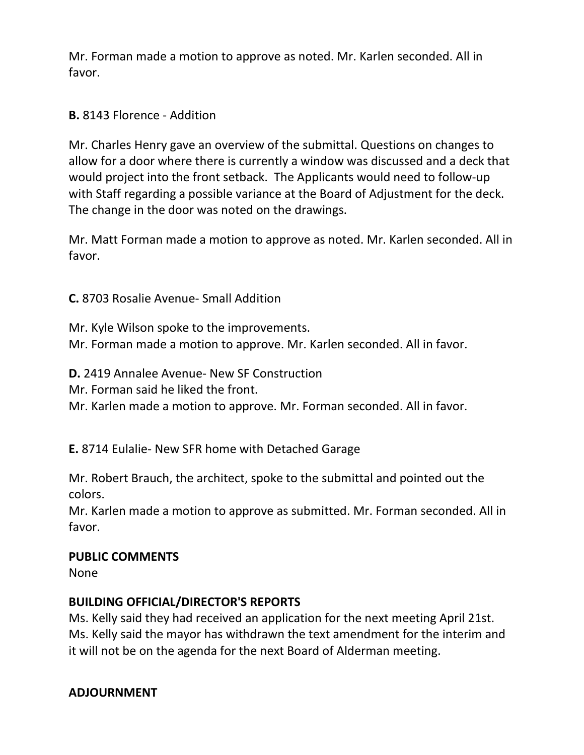Mr. Forman made a motion to approve as noted. Mr. Karlen seconded. All in favor.

#### **B.** 8143 Florence - Addition

Mr. Charles Henry gave an overview of the submittal. Questions on changes to allow for a door where there is currently a window was discussed and a deck that would project into the front setback. The Applicants would need to follow-up with Staff regarding a possible variance at the Board of Adjustment for the deck. The change in the door was noted on the drawings.

Mr. Matt Forman made a motion to approve as noted. Mr. Karlen seconded. All in favor.

**C.** 8703 Rosalie Avenue- Small Addition

Mr. Kyle Wilson spoke to the improvements. Mr. Forman made a motion to approve. Mr. Karlen seconded. All in favor.

**D.** 2419 Annalee Avenue- New SF Construction

Mr. Forman said he liked the front.

Mr. Karlen made a motion to approve. Mr. Forman seconded. All in favor.

**E.** 8714 Eulalie- New SFR home with Detached Garage

Mr. Robert Brauch, the architect, spoke to the submittal and pointed out the colors.

Mr. Karlen made a motion to approve as submitted. Mr. Forman seconded. All in favor.

#### **PUBLIC COMMENTS**

None

#### **BUILDING OFFICIAL/DIRECTOR'S REPORTS**

Ms. Kelly said they had received an application for the next meeting April 21st. Ms. Kelly said the mayor has withdrawn the text amendment for the interim and it will not be on the agenda for the next Board of Alderman meeting.

#### **ADJOURNMENT**